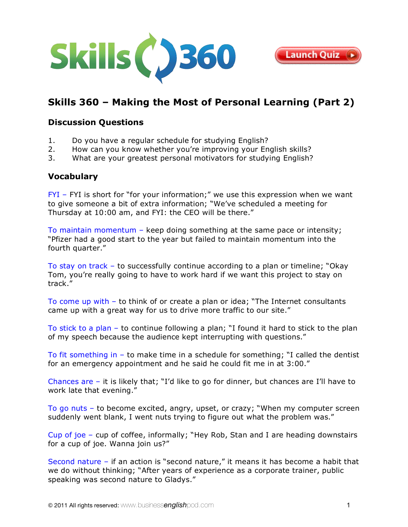



# **[Skills 360 – Making the Most of Personal Learning \(Part 2\)](http://www.businessenglishpod.com/2011/09/25/business-english-skills-360-personal-learning-2/)**

## **Discussion Questions**

- 1. Do you have a regular schedule for studying English?
- 2. How can you know whether you're improving your English skills?
- 3. What are your greatest personal motivators for studying English?

#### **Vocabulary**

FYI - FYI is short for "for your information;" we use this expression when we want to give someone a bit of extra information; "We've scheduled a meeting for Thursday at 10:00 am, and FYI: the CEO will be there."

To maintain momentum – keep doing something at the same pace or intensity; "Pfizer had a good start to the year but failed to maintain momentum into the fourth quarter."

To stay on track – to successfully continue according to a plan or timeline; "Okay Tom, you're really going to have to work hard if we want this project to stay on track."

To come up with – to think of or create a plan or idea; "The Internet consultants came up with a great way for us to drive more traffic to our site."

To stick to a plan – to continue following a plan; "I found it hard to stick to the plan of my speech because the audience kept interrupting with questions."

To fit something in – to make time in a schedule for something; "I called the dentist for an emergency appointment and he said he could fit me in at 3:00."

Chances are – it is likely that; "I'd like to go for dinner, but chances are I'll have to work late that evening."

To go nuts – to become excited, angry, upset, or crazy; "When my computer screen suddenly went blank, I went nuts trying to figure out what the problem was."

Cup of joe – cup of coffee, informally; "Hey Rob, Stan and I are heading downstairs for a cup of joe. Wanna join us?"

Second nature – if an action is "second nature," it means it has become a habit that we do without thinking; "After years of experience as a corporate trainer, public speaking was second nature to Gladys."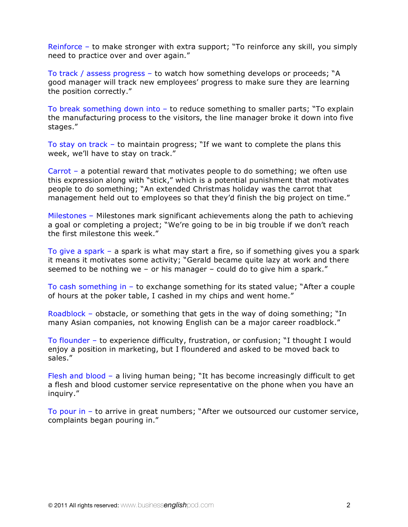Reinforce – to make stronger with extra support; "To reinforce any skill, you simply need to practice over and over again."

To track / assess progress – to watch how something develops or proceeds; "A good manager will track new employees' progress to make sure they are learning the position correctly."

To break something down into – to reduce something to smaller parts; "To explain the manufacturing process to the visitors, the line manager broke it down into five stages."

To stay on track – to maintain progress; "If we want to complete the plans this week, we'll have to stay on track."

Carrot – a potential reward that motivates people to do something; we often use this expression along with "stick," which is a potential punishment that motivates people to do something; "An extended Christmas holiday was the carrot that management held out to employees so that they'd finish the big project on time."

Milestones – Milestones mark significant achievements along the path to achieving a goal or completing a project; "We're going to be in big trouble if we don't reach the first milestone this week."

To give a spark – a spark is what may start a fire, so if something gives you a spark it means it motivates some activity; "Gerald became quite lazy at work and there seemed to be nothing we – or his manager – could do to give him a spark."

To cash something in – to exchange something for its stated value; "After a couple of hours at the poker table, I cashed in my chips and went home."

Roadblock – obstacle, or something that gets in the way of doing something; "In many Asian companies, not knowing English can be a major career roadblock."

To flounder – to experience difficulty, frustration, or confusion; "I thought I would enjoy a position in marketing, but I floundered and asked to be moved back to sales."

Flesh and blood – a living human being; "It has become increasingly difficult to get a flesh and blood customer service representative on the phone when you have an inquiry."

To pour in – to arrive in great numbers; "After we outsourced our customer service, complaints began pouring in."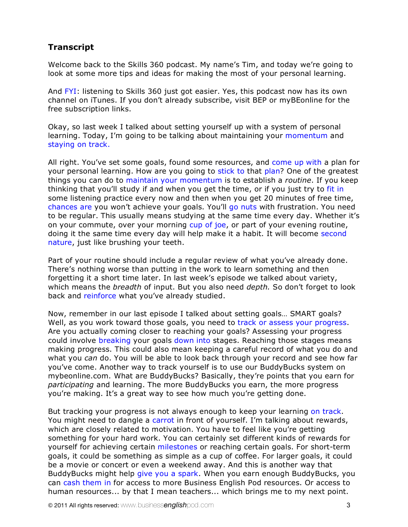## **Transcript**

Welcome back to the Skills 360 podcast. My name's Tim, and today we're going to look at some more tips and ideas for making the most of your personal learning.

And FYI: listening to Skills 360 just got easier. Yes, this podcast now has its own channel on iTunes. If you don't already subscribe, visit [BEP](http://businessenglishpod.com/) or [myBEonline](http://mybeonline.com/blog/category/business-english-skills-360/) for the free subscription links.

Okay, so last week I talked about setting yourself up with a system of personal learning. Today, I'm going to be talking about maintaining your momentum and staying on track.

All right. You've set some goals, found some resources, and come up with a plan for your personal learning. How are you going to stick to that plan? One of the greatest things you can do to maintain your momentum is to establish a *routine*. If you keep thinking that you'll study if and when you get the time, or if you just try to fit in some listening practice every now and then when you get 20 minutes of free time, chances are you won't achieve your goals. You'll go nuts with frustration. You need to be regular. This usually means studying at the same time every day. Whether it's on your commute, over your morning cup of joe, or part of your evening routine, doing it the same time every day will help make it a habit. It will become second nature, just like brushing your teeth.

Part of your routine should include a regular review of what you've already done. There's nothing worse than putting in the work to learn something and then forgetting it a short time later. In last week's episode we talked about variety, which means the *breadth* of input. But you also need *depth.* So don't forget to look back and reinforce what you've already studied.

Now, remember in our last episode I talked about setting goals… SMART goals? Well, as you work toward those goals, you need to track or assess your progress. Are you actually coming closer to reaching your goals? Assessing your progress could involve breaking your goals down into stages. Reaching those stages means making progress. This could also mean keeping a careful record of what you do and what you *can* do. You will be able to look back through your record and see how far you've come. Another way to track yourself is to use our BuddyBucks system on mybeonline.com. What are BuddyBucks? Basically, they're points that you earn for *participating* and learning. The more BuddyBucks you earn, the more progress you're making. It's a great way to see how much you're getting done.

But tracking your progress is not always enough to keep your learning on track. You might need to dangle a carrot in front of yourself. I'm talking about rewards, which are closely related to motivation. You have to feel like you're getting something for your hard work. You can certainly set different kinds of rewards for yourself for achieving certain milestones or reaching certain goals. For short-term goals, it could be something as simple as a cup of coffee. For larger goals, it could be a movie or concert or even a weekend away. And this is another way that BuddyBucks might help give you a spark. When you earn enough BuddyBucks, you can cash them in for access to more Business English Pod resources. Or access to human resources... by that I mean teachers... which brings me to my next point.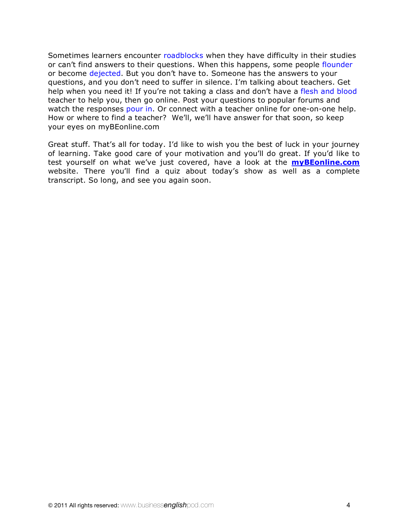Sometimes learners encounter roadblocks when they have difficulty in their studies or can't find answers to their questions. When this happens, some people flounder or become dejected. But you don't have to. Someone has the answers to your questions, and you don't need to suffer in silence. I'm talking about teachers. Get help when you need it! If you're not taking a class and don't have a flesh and blood teacher to help you, then go online. Post your questions to popular forums and watch the responses pour in. Or connect with a teacher online for one-on-one help. How or where to find a teacher? We'll, we'll have answer for that soon, so keep your eyes on [myBEonline.com](http://mybeonline.com/blog/category/business-english-skills-360/) 

Great stuff. That's all for today. I'd like to wish you the best of luck in your journey of learning. Take good care of your motivation and you'll do great. If you'd like to test yourself on what we've just covered, have a look at the **[myBEonline.com](http://mybeonline.com/)** website. There you'll find a quiz about today's show as well as a complete transcript. So long, and see you again soon.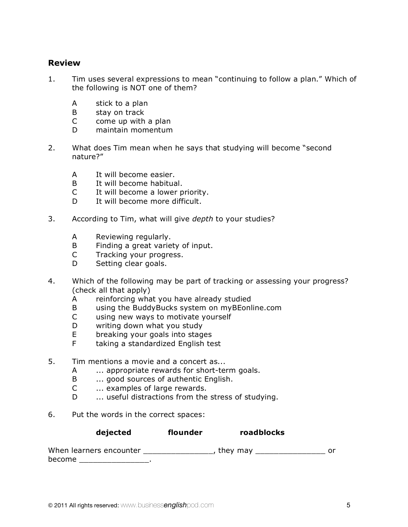## **Review**

- 1. Tim uses several expressions to mean "continuing to follow a plan." Which of the following is NOT one of them?
	- A stick to a plan
	- B stay on track
	- C come up with a plan
	- D maintain momentum
- 2. What does Tim mean when he says that studying will become "second nature?"
	- A It will become easier.
	- B It will become habitual.
	- C It will become a lower priority.
	- D It will become more difficult.
- 3. According to Tim, what will give *depth* to your studies?
	- A Reviewing regularly.
	- B Finding a great variety of input.
	- C Tracking your progress.
	- D Setting clear goals.
- 4. Which of the following may be part of tracking or assessing your progress? (check all that apply)
	- A reinforcing what you have already studied
	- B using the BuddyBucks system on myBEonline.com
	- C using new ways to motivate yourself
	- D writing down what you study
	- E breaking your goals into stages
	- F taking a standardized English test
- 5. Tim mentions a movie and a concert as...
	- A ... appropriate rewards for short-term goals.
	- B ... good sources of authentic English.
	- C ... examples of large rewards.
	- D ... useful distractions from the stress of studying.
- 6. Put the words in the correct spaces:

| dejected | flounder | roadblocks |
|----------|----------|------------|
|          |          |            |

| When learners encounter | , they may |  |
|-------------------------|------------|--|
| become                  |            |  |